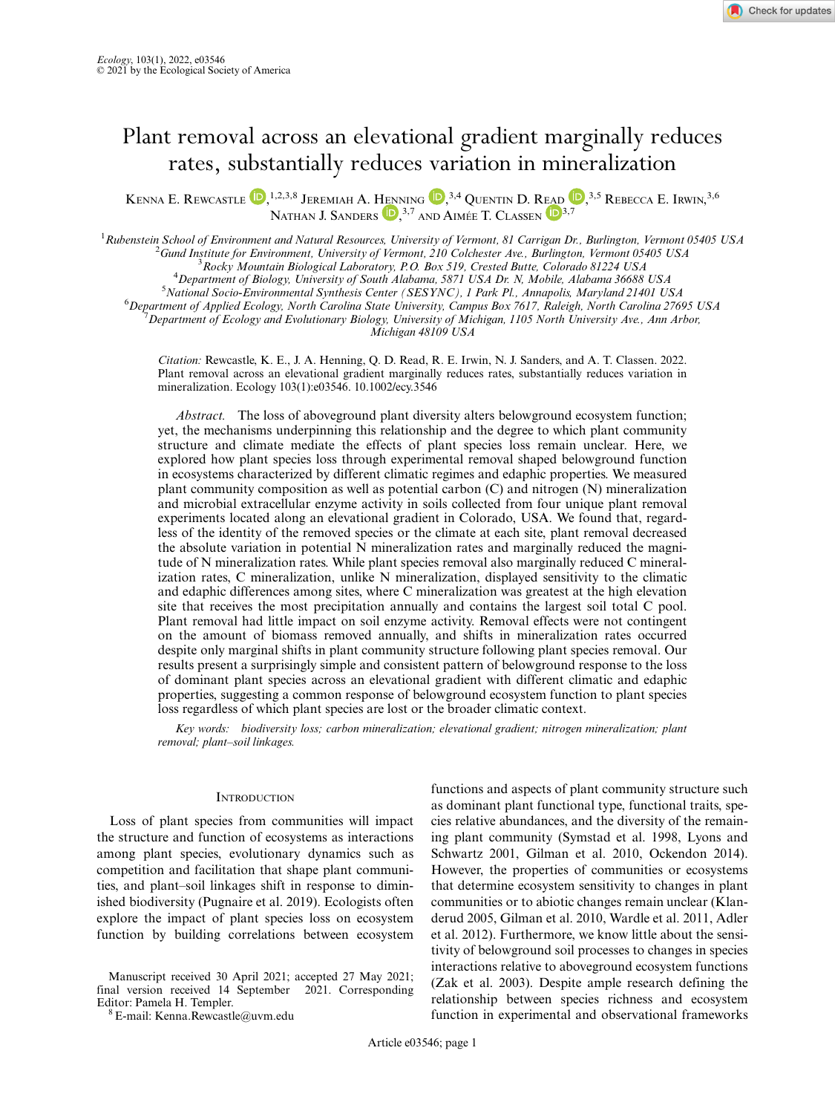# Plant removal across an elevational gradient marginally reduces rates, substantially reduces variation in mineralization

KENNA E. REWCASTLE  $\bigcirc$ ,<sup>1,2,3,8</sup> Jeremiah A. Henning  $\bigcirc$ ,<sup>3,4</sup> Quentin [D](https://orcid.org/0000-0003-4315-5582). Read  $\bigcirc$ ,<sup>3,5</sup> Rebecca E. Irwin,<sup>3,6</sup> [N](https://orcid.org/0000-0002-6741-3470)ATHAN J. SANDERS **D**,<sup>3[,7](https://orcid.org/0000-0003-4315-5582)</sup> AND AIMÉE T. CLASSEN **D**<sup>3,7</sup>

<sup>1</sup> Rubenstein School of Environment and Natural Resources, University of Vermont, 81 Carrigan Dr., Burlington, Vermont 05405 USA<br><sup>2</sup> Cund Institute for Environment, University of Vermont, 210 Colchester, Ave., Burlington,  $^2$ Gund Institute for Environment, University of Vermont, 210 Colchester Ave., Burlington, Vermont 05405 USA  $R^3$ Rocky Mountain Biological Laboratory, P.O. Box 519, Crested Butte, Colorado 81224 USA <sup>4</sup>Department of Biology, University of South Alabama, 5871 USA Dr. N, Mobile, Alabama 36688 USA <sup>5</sup> National Socio-Environmental Synthesis Center (SESYNC), 1 Park Pl., Annapolis, Maryland 21401 USA <sup>6</sup>Department of Applied Ecology, North Carolina State University, Campus Box 7617, Raleigh, North Carolina 27695 USA Department of Ecology and Evolutionary Biology, University of Michigan, 1105 North University Ave., Ann Arbor, Michigan 48109 USA

Citation: Rewcastle, K. E., J. A. Henning, Q. D. Read, R. E. Irwin, N. J. Sanders, and A. T. Classen. 2022. Plant removal across an elevational gradient marginally reduces rates, substantially reduces variation in mineralization. Ecology 103(1):e03546. [10.1002/ecy.3546](info:doi/10.1002/ecy.3546)

Abstract. The loss of aboveground plant diversity alters belowground ecosystem function; yet, the mechanisms underpinning this relationship and the degree to which plant community structure and climate mediate the effects of plant species loss remain unclear. Here, we explored how plant species loss through experimental removal shaped belowground function in ecosystems characterized by different climatic regimes and edaphic properties. We measured plant community composition as well as potential carbon (C) and nitrogen (N) mineralization and microbial extracellular enzyme activity in soils collected from four unique plant removal experiments located along an elevational gradient in Colorado, USA. We found that, regardless of the identity of the removed species or the climate at each site, plant removal decreased the absolute variation in potential N mineralization rates and marginally reduced the magnitude of N mineralization rates. While plant species removal also marginally reduced C mineralization rates, C mineralization, unlike N mineralization, displayed sensitivity to the climatic and edaphic differences among sites, where C mineralization was greatest at the high elevation site that receives the most precipitation annually and contains the largest soil total C pool. Plant removal had little impact on soil enzyme activity. Removal effects were not contingent on the amount of biomass removed annually, and shifts in mineralization rates occurred despite only marginal shifts in plant community structure following plant species removal. Our results present a surprisingly simple and consistent pattern of belowground response to the loss of dominant plant species across an elevational gradient with different climatic and edaphic properties, suggesting a common response of belowground ecosystem function to plant species loss regardless of which plant species are lost or the broader climatic context.

Key words: biodiversity loss; carbon mineralization; elevational gradient; nitrogen mineralization; plant removal; plant–soil linkages.

## **INTRODUCTION**

Loss of plant species from communities will impact the structure and function of ecosystems as interactions among plant species, evolutionary dynamics such as competition and facilitation that shape plant communities, and plant–soil linkages shift in response to diminished biodiversity (Pugnaire et al. 2019). Ecologists often explore the impact of plant species loss on ecosystem function by building correlations between ecosystem

functions and aspects of plant community structure such as dominant plant functional type, functional traits, species relative abundances, and the diversity of the remaining plant community (Symstad et al. 1998, Lyons and Schwartz 2001, Gilman et al. 2010, Ockendon 2014). However, the properties of communities or ecosystems that determine ecosystem sensitivity to changes in plant communities or to abiotic changes remain unclear (Klanderud 2005, Gilman et al. 2010, Wardle et al. 2011, Adler et al. 2012). Furthermore, we know little about the sensitivity of belowground soil processes to changes in species interactions relative to aboveground ecosystem functions (Zak et al. 2003). Despite ample research defining the relationship between species richness and ecosystem function in experimental and observational frameworks

Manuscript received 30 April 2021; accepted 27 May 2021; final version received 14 September 2021. Corresponding Editor: Pamela H. Templer. <sup>8</sup> E-mail: [Kenna.Rewcastle@uvm.edu](mailto:)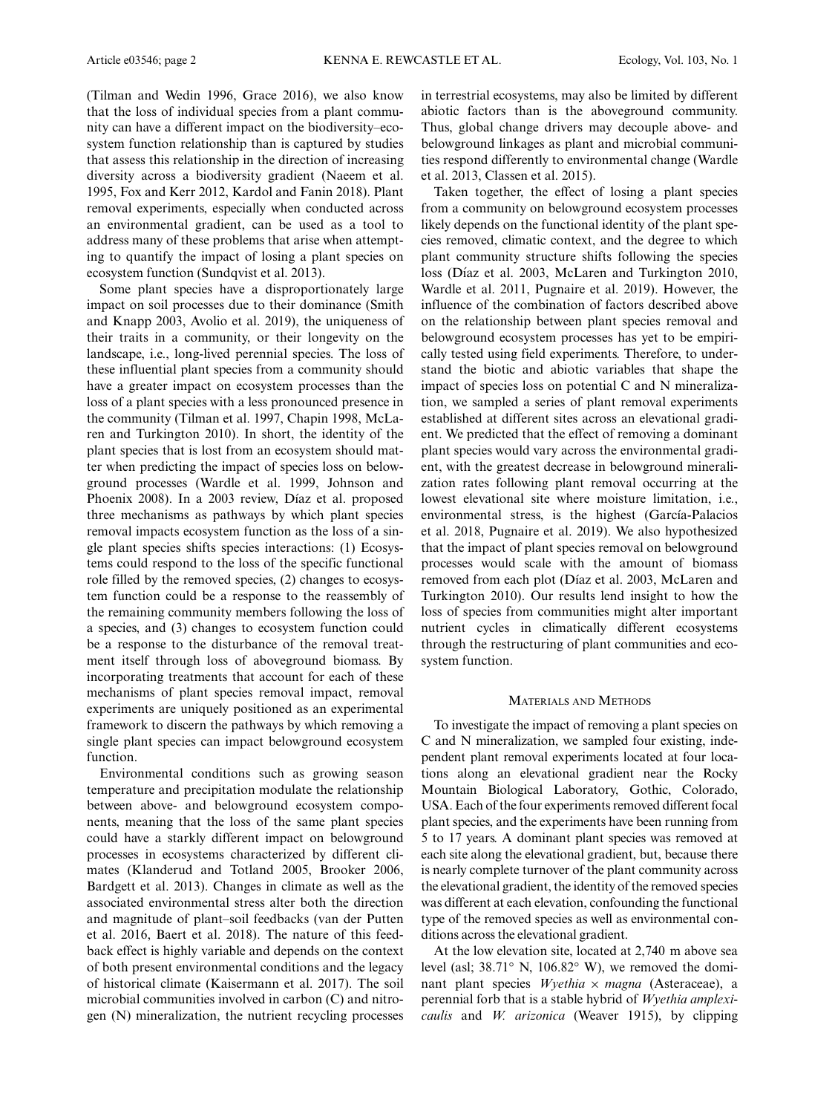(Tilman and Wedin 1996, Grace 2016), we also know that the loss of individual species from a plant community can have a different impact on the biodiversity–ecosystem function relationship than is captured by studies that assess this relationship in the direction of increasing diversity across a biodiversity gradient (Naeem et al. 1995, Fox and Kerr 2012, Kardol and Fanin 2018). Plant removal experiments, especially when conducted across an environmental gradient, can be used as a tool to address many of these problems that arise when attempting to quantify the impact of losing a plant species on ecosystem function (Sundqvist et al. 2013).

Some plant species have a disproportionately large impact on soil processes due to their dominance (Smith and Knapp 2003, Avolio et al. 2019), the uniqueness of their traits in a community, or their longevity on the landscape, i.e., long-lived perennial species. The loss of these influential plant species from a community should have a greater impact on ecosystem processes than the loss of a plant species with a less pronounced presence in the community (Tilman et al. 1997, Chapin 1998, McLaren and Turkington 2010). In short, the identity of the plant species that is lost from an ecosystem should matter when predicting the impact of species loss on belowground processes (Wardle et al. 1999, Johnson and Phoenix 2008). In a 2003 review, Díaz et al. proposed three mechanisms as pathways by which plant species removal impacts ecosystem function as the loss of a single plant species shifts species interactions: (1) Ecosystems could respond to the loss of the specific functional role filled by the removed species, (2) changes to ecosystem function could be a response to the reassembly of the remaining community members following the loss of a species, and (3) changes to ecosystem function could be a response to the disturbance of the removal treatment itself through loss of aboveground biomass. By incorporating treatments that account for each of these mechanisms of plant species removal impact, removal experiments are uniquely positioned as an experimental framework to discern the pathways by which removing a single plant species can impact belowground ecosystem function.

Environmental conditions such as growing season temperature and precipitation modulate the relationship between above- and belowground ecosystem components, meaning that the loss of the same plant species could have a starkly different impact on belowground processes in ecosystems characterized by different climates (Klanderud and Totland 2005, Brooker 2006, Bardgett et al. 2013). Changes in climate as well as the associated environmental stress alter both the direction and magnitude of plant–soil feedbacks (van der Putten et al. 2016, Baert et al. 2018). The nature of this feedback effect is highly variable and depends on the context of both present environmental conditions and the legacy of historical climate (Kaisermann et al. 2017). The soil microbial communities involved in carbon (C) and nitrogen (N) mineralization, the nutrient recycling processes in terrestrial ecosystems, may also be limited by different abiotic factors than is the aboveground community. Thus, global change drivers may decouple above- and belowground linkages as plant and microbial communities respond differently to environmental change (Wardle et al. 2013, Classen et al. 2015).

Taken together, the effect of losing a plant species from a community on belowground ecosystem processes likely depends on the functional identity of the plant species removed, climatic context, and the degree to which plant community structure shifts following the species loss (Díaz et al. 2003, McLaren and Turkington 2010, Wardle et al. 2011, Pugnaire et al. 2019). However, the influence of the combination of factors described above on the relationship between plant species removal and belowground ecosystem processes has yet to be empirically tested using field experiments. Therefore, to understand the biotic and abiotic variables that shape the impact of species loss on potential C and N mineralization, we sampled a series of plant removal experiments established at different sites across an elevational gradient. We predicted that the effect of removing a dominant plant species would vary across the environmental gradient, with the greatest decrease in belowground mineralization rates following plant removal occurring at the lowest elevational site where moisture limitation, i.e., environmental stress, is the highest (García-Palacios et al. 2018, Pugnaire et al. 2019). We also hypothesized that the impact of plant species removal on belowground processes would scale with the amount of biomass removed from each plot (Díaz et al. 2003, McLaren and Turkington 2010). Our results lend insight to how the loss of species from communities might alter important nutrient cycles in climatically different ecosystems through the restructuring of plant communities and ecosystem function.

## MATERIALS AND METHODS

To investigate the impact of removing a plant species on C and N mineralization, we sampled four existing, independent plant removal experiments located at four locations along an elevational gradient near the Rocky Mountain Biological Laboratory, Gothic, Colorado, USA. Each of the four experiments removed different focal plant species, and the experiments have been running from 5 to 17 years. A dominant plant species was removed at each site along the elevational gradient, but, because there is nearly complete turnover of the plant community across the elevational gradient, the identity of the removed species was different at each elevation, confounding the functional type of the removed species as well as environmental conditions across the elevational gradient.

At the low elevation site, located at 2,740 m above sea level (asl; 38.71° N, 106.82° W), we removed the dominant plant species Wyethia  $\times$  magna (Asteraceae), a perennial forb that is a stable hybrid of Wyethia amplexicaulis and W. arizonica (Weaver 1915), by clipping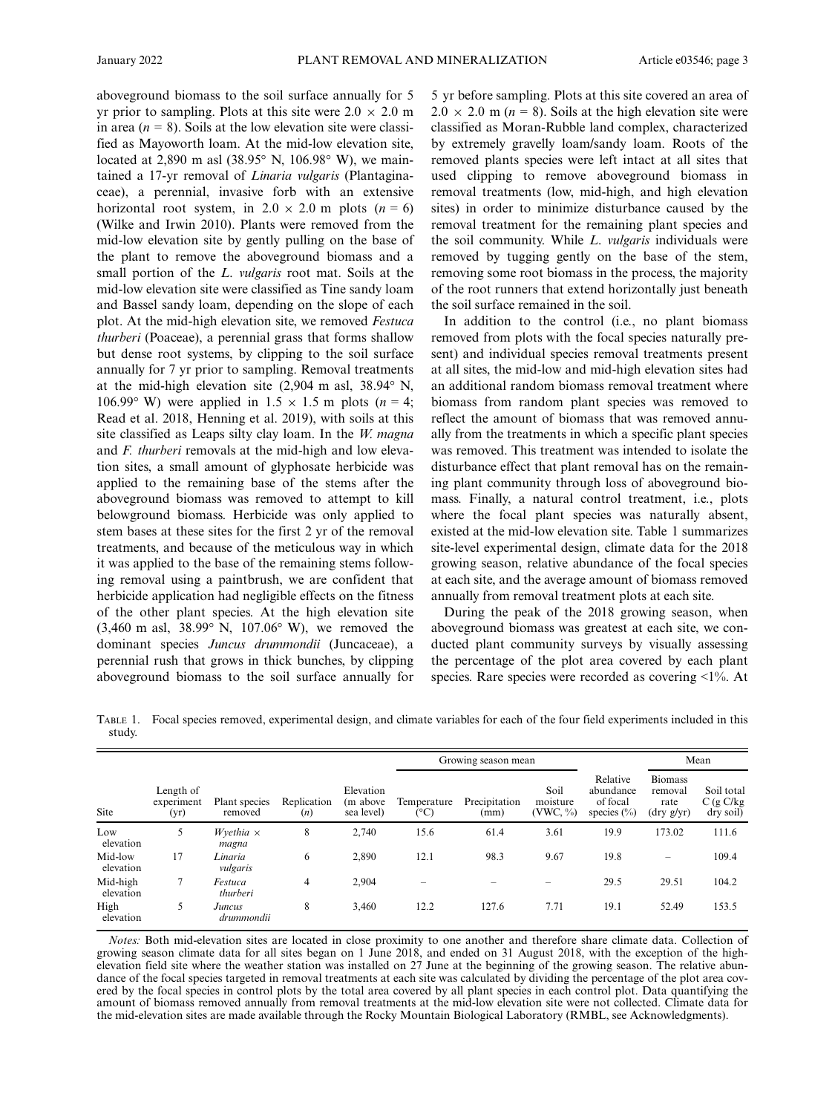aboveground biomass to the soil surface annually for 5 yr prior to sampling. Plots at this site were  $2.0 \times 2.0$  m in area  $(n = 8)$ . Soils at the low elevation site were classified as Mayoworth loam. At the mid-low elevation site, located at 2,890 m asl (38.95° N, 106.98° W), we maintained a 17-yr removal of Linaria vulgaris (Plantaginaceae), a perennial, invasive forb with an extensive horizontal root system, in  $2.0 \times 2.0$  m plots (n = 6) (Wilke and Irwin 2010). Plants were removed from the mid-low elevation site by gently pulling on the base of the plant to remove the aboveground biomass and a small portion of the L. vulgaris root mat. Soils at the mid-low elevation site were classified as Tine sandy loam and Bassel sandy loam, depending on the slope of each plot. At the mid-high elevation site, we removed Festuca thurberi (Poaceae), a perennial grass that forms shallow but dense root systems, by clipping to the soil surface annually for 7 yr prior to sampling. Removal treatments at the mid-high elevation site (2,904 m asl, 38.94° N, 106.99° W) were applied in  $1.5 \times 1.5$  m plots (n = 4; Read et al. 2018, Henning et al. 2019), with soils at this site classified as Leaps silty clay loam. In the  $W$ . magna and F. thurberi removals at the mid-high and low elevation sites, a small amount of glyphosate herbicide was applied to the remaining base of the stems after the aboveground biomass was removed to attempt to kill belowground biomass. Herbicide was only applied to stem bases at these sites for the first 2 yr of the removal treatments, and because of the meticulous way in which it was applied to the base of the remaining stems following removal using a paintbrush, we are confident that herbicide application had negligible effects on the fitness of the other plant species. At the high elevation site (3,460 m asl, 38.99° N, 107.06° W), we removed the dominant species Juncus drummondii (Juncaceae), a perennial rush that grows in thick bunches, by clipping aboveground biomass to the soil surface annually for 5 yr before sampling. Plots at this site covered an area of  $2.0 \times 2.0$  m ( $n = 8$ ). Soils at the high elevation site were classified as Moran-Rubble land complex, characterized by extremely gravelly loam/sandy loam. Roots of the removed plants species were left intact at all sites that used clipping to remove aboveground biomass in removal treatments (low, mid-high, and high elevation sites) in order to minimize disturbance caused by the removal treatment for the remaining plant species and the soil community. While L. vulgaris individuals were removed by tugging gently on the base of the stem, removing some root biomass in the process, the majority of the root runners that extend horizontally just beneath the soil surface remained in the soil.

In addition to the control (i.e., no plant biomass removed from plots with the focal species naturally present) and individual species removal treatments present at all sites, the mid-low and mid-high elevation sites had an additional random biomass removal treatment where biomass from random plant species was removed to reflect the amount of biomass that was removed annually from the treatments in which a specific plant species was removed. This treatment was intended to isolate the disturbance effect that plant removal has on the remaining plant community through loss of aboveground biomass. Finally, a natural control treatment, i.e., plots where the focal plant species was naturally absent, existed at the mid-low elevation site. Table 1 summarizes site-level experimental design, climate data for the 2018 growing season, relative abundance of the focal species at each site, and the average amount of biomass removed annually from removal treatment plots at each site.

During the peak of the 2018 growing season, when aboveground biomass was greatest at each site, we conducted plant community surveys by visually assessing the percentage of the plot area covered by each plant species. Rare species were recorded as covering <1%. At

TABLE 1. Focal species removed, experimental design, and climate variables for each of the four field experiments included in this study.

| Site                  | Length of<br>experiment<br>(yr) | Plant species<br>removed    | Replication<br>(n) | Elevation<br>(m above<br>sea level) | Growing season mean |                       |                             |                                                      | Mean                                                             |                                     |
|-----------------------|---------------------------------|-----------------------------|--------------------|-------------------------------------|---------------------|-----------------------|-----------------------------|------------------------------------------------------|------------------------------------------------------------------|-------------------------------------|
|                       |                                 |                             |                    |                                     | Temperature<br>(°C) | Precipitation<br>(mm) | Soil<br>moisture<br>(VWC, % | Relative<br>abundance<br>of focal<br>species $(\% )$ | <b>Biomass</b><br>removal<br>rate<br>$(\text{dry } g/\text{yr})$ | Soil total<br>C(gC/kg)<br>dry soil) |
| Low<br>elevation      | 5                               | Wyethia $\times$<br>magna   | 8                  | 2,740                               | 15.6                | 61.4                  | 3.61                        | 19.9                                                 | 173.02                                                           | 111.6                               |
| Mid-low<br>elevation  | 17                              | Linaria<br>vulgaris         | 6                  | 2,890                               | 12.1                | 98.3                  | 9.67                        | 19.8                                                 |                                                                  | 109.4                               |
| Mid-high<br>elevation | π                               | Festuca<br>thurberi         | 4                  | 2,904                               |                     |                       |                             | 29.5                                                 | 29.51                                                            | 104.2                               |
| High<br>elevation     | 5                               | <b>Juncus</b><br>drummondii | 8                  | 3,460                               | 12.2                | 127.6                 | 7.71                        | 19.1                                                 | 52.49                                                            | 153.5                               |

Notes: Both mid-elevation sites are located in close proximity to one another and therefore share climate data. Collection of growing season climate data for all sites began on 1 June 2018, and ended on 31 August 2018, with the exception of the highelevation field site where the weather station was installed on 27 June at the beginning of the growing season. The relative abundance of the focal species targeted in removal treatments at each site was calculated by dividing the percentage of the plot area covered by the focal species in control plots by the total area covered by all plant species in each control plot. Data quantifying the amount of biomass removed annually from removal treatments at the mid-low elevation site were not collected. Climate data for the mid-elevation sites are made available through the Rocky Mountain Biological Laboratory (RMBL, see Acknowledgments).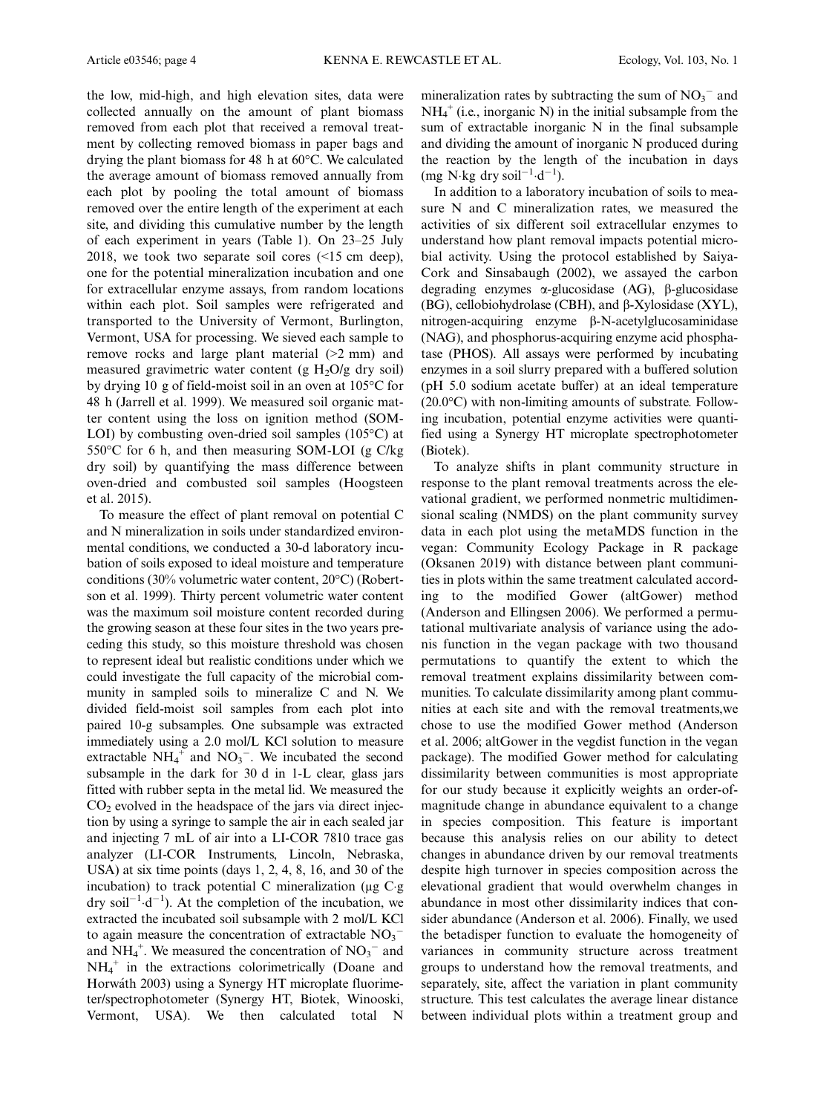the low, mid-high, and high elevation sites, data were collected annually on the amount of plant biomass removed from each plot that received a removal treatment by collecting removed biomass in paper bags and drying the plant biomass for 48 h at 60°C. We calculated the average amount of biomass removed annually from each plot by pooling the total amount of biomass removed over the entire length of the experiment at each site, and dividing this cumulative number by the length of each experiment in years (Table 1). On 23–25 July 2018, we took two separate soil cores (<15 cm deep), one for the potential mineralization incubation and one for extracellular enzyme assays, from random locations within each plot. Soil samples were refrigerated and transported to the University of Vermont, Burlington, Vermont, USA for processing. We sieved each sample to remove rocks and large plant material (>2 mm) and measured gravimetric water content (g  $H_2O/g$  dry soil) by drying 10 g of field-moist soil in an oven at 105°C for 48 h (Jarrell et al. 1999). We measured soil organic matter content using the loss on ignition method (SOM-LOI) by combusting oven-dried soil samples (105°C) at 550°C for 6 h, and then measuring SOM-LOI (g C/kg dry soil) by quantifying the mass difference between oven-dried and combusted soil samples (Hoogsteen et al. 2015).

To measure the effect of plant removal on potential C and N mineralization in soils under standardized environmental conditions, we conducted a 30-d laboratory incubation of soils exposed to ideal moisture and temperature conditions (30% volumetric water content, 20°C) (Robertson et al. 1999). Thirty percent volumetric water content was the maximum soil moisture content recorded during the growing season at these four sites in the two years preceding this study, so this moisture threshold was chosen to represent ideal but realistic conditions under which we could investigate the full capacity of the microbial community in sampled soils to mineralize C and N. We divided field-moist soil samples from each plot into paired 10-g subsamples. One subsample was extracted immediately using a 2.0 mol/L KCl solution to measure extractable  $NH_4^+$  and  $NO_3^-$ . We incubated the second subsample in the dark for 30 d in 1-L clear, glass jars fitted with rubber septa in the metal lid. We measured the  $CO<sub>2</sub>$  evolved in the headspace of the jars via direct injection by using a syringe to sample the air in each sealed jar and injecting 7 mL of air into a LI-COR 7810 trace gas analyzer (LI-COR Instruments, Lincoln, Nebraska, USA) at six time points (days 1, 2, 4, 8, 16, and 30 of the incubation) to track potential C mineralization ( $\mu$ g C g dry soil<sup>-1</sup> $\cdot$ d<sup>-1</sup>). At the completion of the incubation, we extracted the incubated soil subsample with 2 mol/L KCl to again measure the concentration of extractable  $NO_3^$ and  $NH_4^+$ . We measured the concentration of  $NO_3^-$  and  $NH_4^+$  in the extractions colorimetrically (Doane and Horwath 2003) using a Synergy HT microplate fluorimeter/spectrophotometer (Synergy HT, Biotek, Winooski, Vermont, USA). We then calculated total N

mineralization rates by subtracting the sum of  $NO<sub>3</sub><sup>-</sup>$  and  $NH_4^+$  (i.e., inorganic N) in the initial subsample from the sum of extractable inorganic N in the final subsample and dividing the amount of inorganic N produced during the reaction by the length of the incubation in days  $(mg \text{ N} \cdot \text{kg} \text{ dry soil}^{-1} \cdot \text{d}^{-1}).$ 

In addition to a laboratory incubation of soils to measure N and C mineralization rates, we measured the activities of six different soil extracellular enzymes to understand how plant removal impacts potential microbial activity. Using the protocol established by Saiya-Cork and Sinsabaugh (2002), we assayed the carbon degrading enzymes  $\alpha$ -glucosidase (AG),  $\beta$ -glucosidase (BG), cellobiohydrolase (CBH), and  $\beta$ -Xylosidase (XYL),  $nitrogen-acquiring$  enzyme  $\beta$ -N-acetylglucosaminidase (NAG), and phosphorus-acquiring enzyme acid phosphatase (PHOS). All assays were performed by incubating enzymes in a soil slurry prepared with a buffered solution (pH 5.0 sodium acetate buffer) at an ideal temperature (20.0°C) with non-limiting amounts of substrate. Following incubation, potential enzyme activities were quantified using a Synergy HT microplate spectrophotometer (Biotek).

To analyze shifts in plant community structure in response to the plant removal treatments across the elevational gradient, we performed nonmetric multidimensional scaling (NMDS) on the plant community survey data in each plot using the metaMDS function in the vegan: Community Ecology Package in R package (Oksanen 2019) with distance between plant communities in plots within the same treatment calculated according to the modified Gower (altGower) method (Anderson and Ellingsen 2006). We performed a permutational multivariate analysis of variance using the adonis function in the vegan package with two thousand permutations to quantify the extent to which the removal treatment explains dissimilarity between communities. To calculate dissimilarity among plant communities at each site and with the removal treatments,we chose to use the modified Gower method (Anderson et al. 2006; altGower in the vegdist function in the vegan package). The modified Gower method for calculating dissimilarity between communities is most appropriate for our study because it explicitly weights an order-ofmagnitude change in abundance equivalent to a change in species composition. This feature is important because this analysis relies on our ability to detect changes in abundance driven by our removal treatments despite high turnover in species composition across the elevational gradient that would overwhelm changes in abundance in most other dissimilarity indices that consider abundance (Anderson et al. 2006). Finally, we used the betadisper function to evaluate the homogeneity of variances in community structure across treatment groups to understand how the removal treatments, and separately, site, affect the variation in plant community structure. This test calculates the average linear distance between individual plots within a treatment group and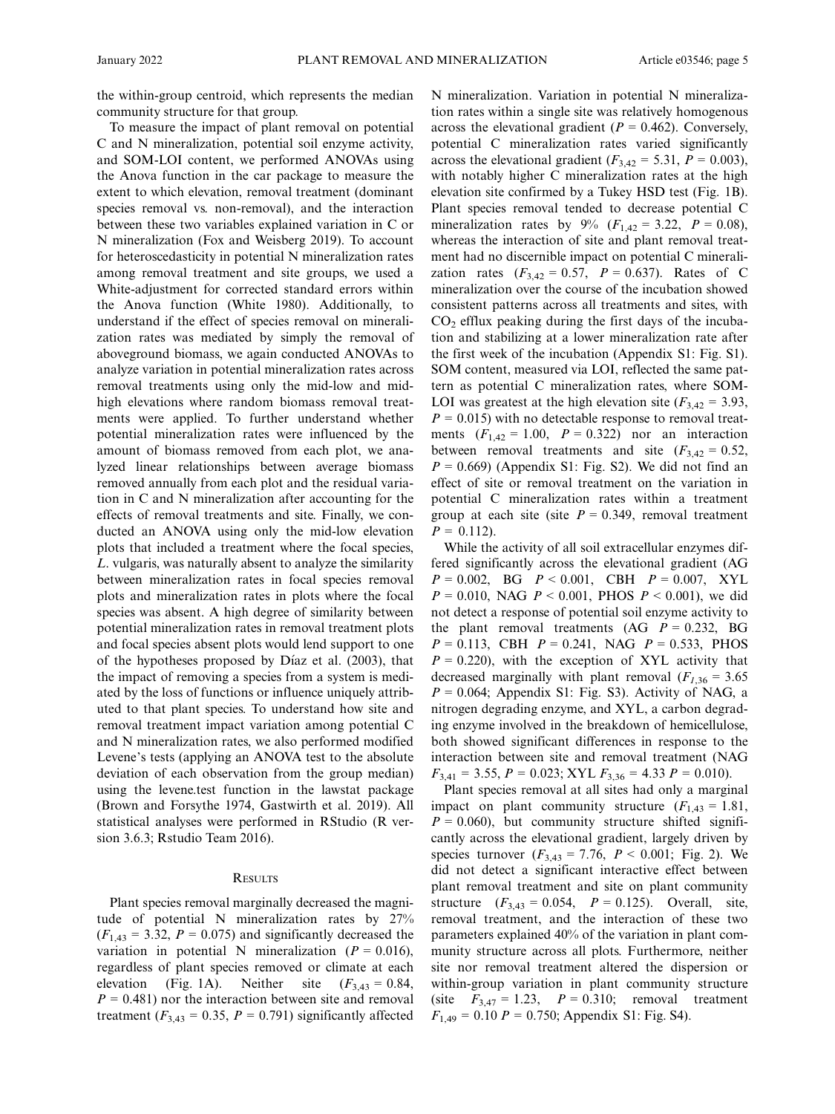the within-group centroid, which represents the median community structure for that group.

To measure the impact of plant removal on potential C and N mineralization, potential soil enzyme activity, and SOM-LOI content, we performed ANOVAs using the Anova function in the car package to measure the extent to which elevation, removal treatment (dominant species removal vs. non-removal), and the interaction between these two variables explained variation in C or N mineralization (Fox and Weisberg 2019). To account for heteroscedasticity in potential N mineralization rates among removal treatment and site groups, we used a White-adjustment for corrected standard errors within the Anova function (White 1980). Additionally, to understand if the effect of species removal on mineralization rates was mediated by simply the removal of aboveground biomass, we again conducted ANOVAs to analyze variation in potential mineralization rates across removal treatments using only the mid-low and midhigh elevations where random biomass removal treatments were applied. To further understand whether potential mineralization rates were influenced by the amount of biomass removed from each plot, we analyzed linear relationships between average biomass removed annually from each plot and the residual variation in C and N mineralization after accounting for the effects of removal treatments and site. Finally, we conducted an ANOVA using only the mid-low elevation plots that included a treatment where the focal species, L. vulgaris, was naturally absent to analyze the similarity between mineralization rates in focal species removal plots and mineralization rates in plots where the focal species was absent. A high degree of similarity between potential mineralization rates in removal treatment plots and focal species absent plots would lend support to one of the hypotheses proposed by Díaz et al. (2003), that the impact of removing a species from a system is mediated by the loss of functions or influence uniquely attributed to that plant species. To understand how site and removal treatment impact variation among potential C and N mineralization rates, we also performed modified Levene's tests (applying an ANOVA test to the absolute deviation of each observation from the group median) using the levene.test function in the lawstat package (Brown and Forsythe 1974, Gastwirth et al. 2019). All statistical analyses were performed in RStudio (R version 3.6.3; Rstudio Team 2016).

## **RESULTS**

Plant species removal marginally decreased the magnitude of potential N mineralization rates by 27%  $(F<sub>1,43</sub> = 3.32, P = 0.075)$  and significantly decreased the variation in potential N mineralization ( $P = 0.016$ ), regardless of plant species removed or climate at each elevation (Fig. 1A). Neither site  $(F_{3,43} = 0.84,$  $P = 0.481$ ) nor the interaction between site and removal treatment ( $F_{3,43} = 0.35$ ,  $P = 0.791$ ) significantly affected N mineralization. Variation in potential N mineralization rates within a single site was relatively homogenous across the elevational gradient ( $P = 0.462$ ). Conversely, potential C mineralization rates varied significantly across the elevational gradient ( $F_{3,42} = 5.31$ ,  $P = 0.003$ ), with notably higher C mineralization rates at the high elevation site confirmed by a Tukey HSD test (Fig. 1B). Plant species removal tended to decrease potential C mineralization rates by 9% ( $F_{1,42} = 3.22$ ,  $P = 0.08$ ), whereas the interaction of site and plant removal treatment had no discernible impact on potential C mineralization rates  $(F_{3,42} = 0.57, P = 0.637)$ . Rates of C mineralization over the course of the incubation showed consistent patterns across all treatments and sites, with  $CO<sub>2</sub>$  efflux peaking during the first days of the incubation and stabilizing at a lower mineralization rate after the first week of the incubation (Appendix S1: Fig. S1). SOM content, measured via LOI, reflected the same pattern as potential C mineralization rates, where SOM-LOI was greatest at the high elevation site  $(F_{3,42} = 3.93,$  $P = 0.015$ ) with no detectable response to removal treatments  $(F_{1,42} = 1.00, P = 0.322)$  nor an interaction between removal treatments and site  $(F_{3,42} = 0.52)$ ,  $P = 0.669$ ) (Appendix S1: Fig. S2). We did not find an effect of site or removal treatment on the variation in potential C mineralization rates within a treatment group at each site (site  $P = 0.349$ , removal treatment  $P = 0.112$ .

While the activity of all soil extracellular enzymes differed significantly across the elevational gradient (AG  $P = 0.002$ , BG  $P < 0.001$ , CBH  $P = 0.007$ , XYL  $P = 0.010$ , NAG  $P < 0.001$ , PHOS  $P < 0.001$ ), we did not detect a response of potential soil enzyme activity to the plant removal treatments  $(AG \t P = 0.232, BG$  $P = 0.113$ , CBH  $P = 0.241$ , NAG  $P = 0.533$ , PHOS  $P = 0.220$ , with the exception of XYL activity that decreased marginally with plant removal  $(F<sub>1,36</sub> = 3.65)$  $P = 0.064$ ; Appendix S1: Fig. S3). Activity of NAG, a nitrogen degrading enzyme, and XYL, a carbon degrading enzyme involved in the breakdown of hemicellulose, both showed significant differences in response to the interaction between site and removal treatment (NAG  $F_{3,41} = 3.55$ ,  $P = 0.023$ ; XYL  $F_{3,36} = 4.33$   $P = 0.010$ ).

Plant species removal at all sites had only a marginal impact on plant community structure  $(F<sub>1,43</sub> = 1.81)$ ,  $P = 0.060$ , but community structure shifted significantly across the elevational gradient, largely driven by species turnover  $(F_{3,43} = 7.76, P < 0.001;$  Fig. 2). We did not detect a significant interactive effect between plant removal treatment and site on plant community structure  $(F_{3,43} = 0.054, P = 0.125)$ . Overall, site, removal treatment, and the interaction of these two parameters explained 40% of the variation in plant community structure across all plots. Furthermore, neither site nor removal treatment altered the dispersion or within-group variation in plant community structure (site  $F_{3,47} = 1.23$ ,  $P = 0.310$ ; removal treatment  $F_{1,49} = 0.10 P = 0.750$ ; Appendix S1: Fig. S4).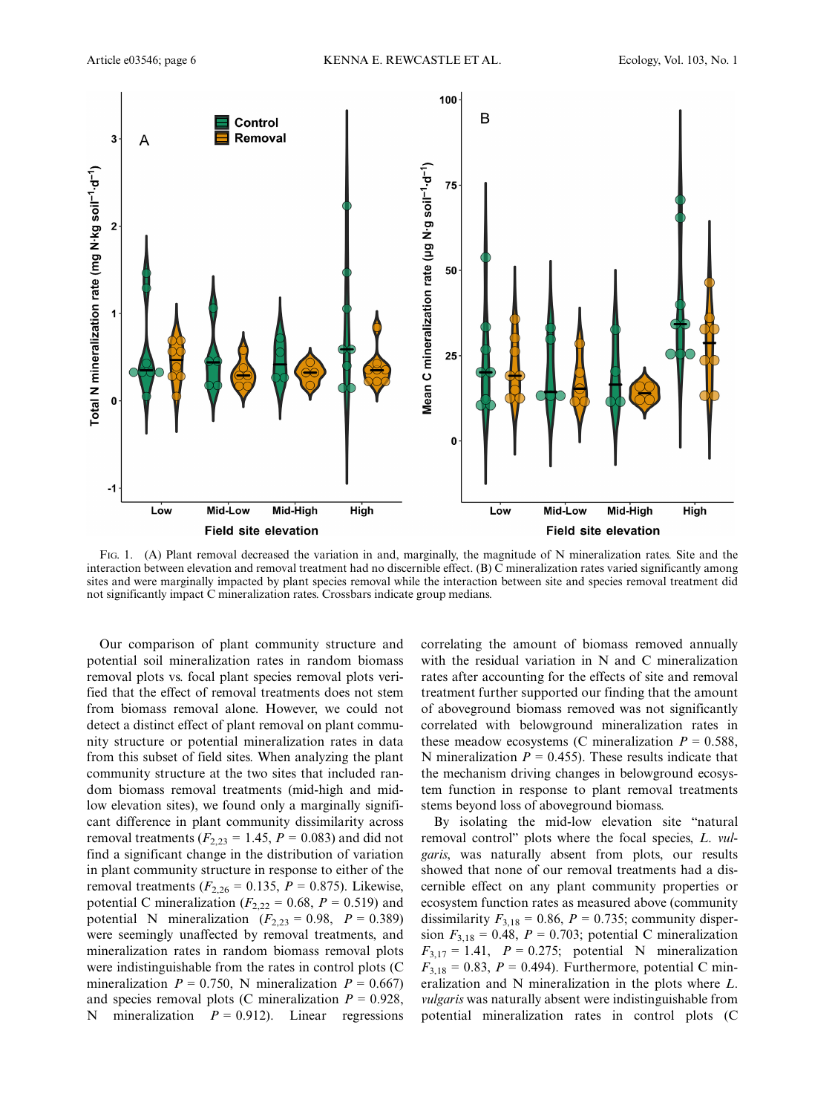

FIG. 1. (A) Plant removal decreased the variation in and, marginally, the magnitude of N mineralization rates. Site and the interaction between elevation and removal treatment had no discernible effect. (B) C mineralization rates varied significantly among sites and were marginally impacted by plant species removal while the interaction between site and species removal treatment did not significantly impact C mineralization rates. Crossbars indicate group medians.

Our comparison of plant community structure and potential soil mineralization rates in random biomass removal plots vs. focal plant species removal plots verified that the effect of removal treatments does not stem from biomass removal alone. However, we could not detect a distinct effect of plant removal on plant community structure or potential mineralization rates in data from this subset of field sites. When analyzing the plant community structure at the two sites that included random biomass removal treatments (mid-high and midlow elevation sites), we found only a marginally significant difference in plant community dissimilarity across removal treatments ( $F_{2,23} = 1.45$ ,  $P = 0.083$ ) and did not find a significant change in the distribution of variation in plant community structure in response to either of the removal treatments ( $F_{2,26} = 0.135$ ,  $P = 0.875$ ). Likewise, potential C mineralization ( $F_{2,22} = 0.68$ ,  $P = 0.519$ ) and potential N mineralization  $(F_{2,23} = 0.98, P = 0.389)$ were seemingly unaffected by removal treatments, and mineralization rates in random biomass removal plots were indistinguishable from the rates in control plots (C mineralization  $P = 0.750$ , N mineralization  $P = 0.667$ and species removal plots (C mineralization  $P = 0.928$ , N mineralization  $P = 0.912$ ). Linear regressions correlating the amount of biomass removed annually with the residual variation in N and C mineralization rates after accounting for the effects of site and removal treatment further supported our finding that the amount of aboveground biomass removed was not significantly correlated with belowground mineralization rates in these meadow ecosystems (C mineralization  $P = 0.588$ , N mineralization  $P = 0.455$ ). These results indicate that the mechanism driving changes in belowground ecosystem function in response to plant removal treatments stems beyond loss of aboveground biomass.

By isolating the mid-low elevation site "natural removal control" plots where the focal species, L. vulgaris, was naturally absent from plots, our results showed that none of our removal treatments had a discernible effect on any plant community properties or ecosystem function rates as measured above (community dissimilarity  $F_{3,18} = 0.86$ ,  $P = 0.735$ ; community dispersion  $F_{3,18} = 0.48$ ,  $P = 0.703$ ; potential C mineralization  $F_{3,17} = 1.41$ ,  $P = 0.275$ ; potential N mineralization  $F_{3,18} = 0.83, P = 0.494$ . Furthermore, potential C mineralization and N mineralization in the plots where L. vulgaris was naturally absent were indistinguishable from potential mineralization rates in control plots (C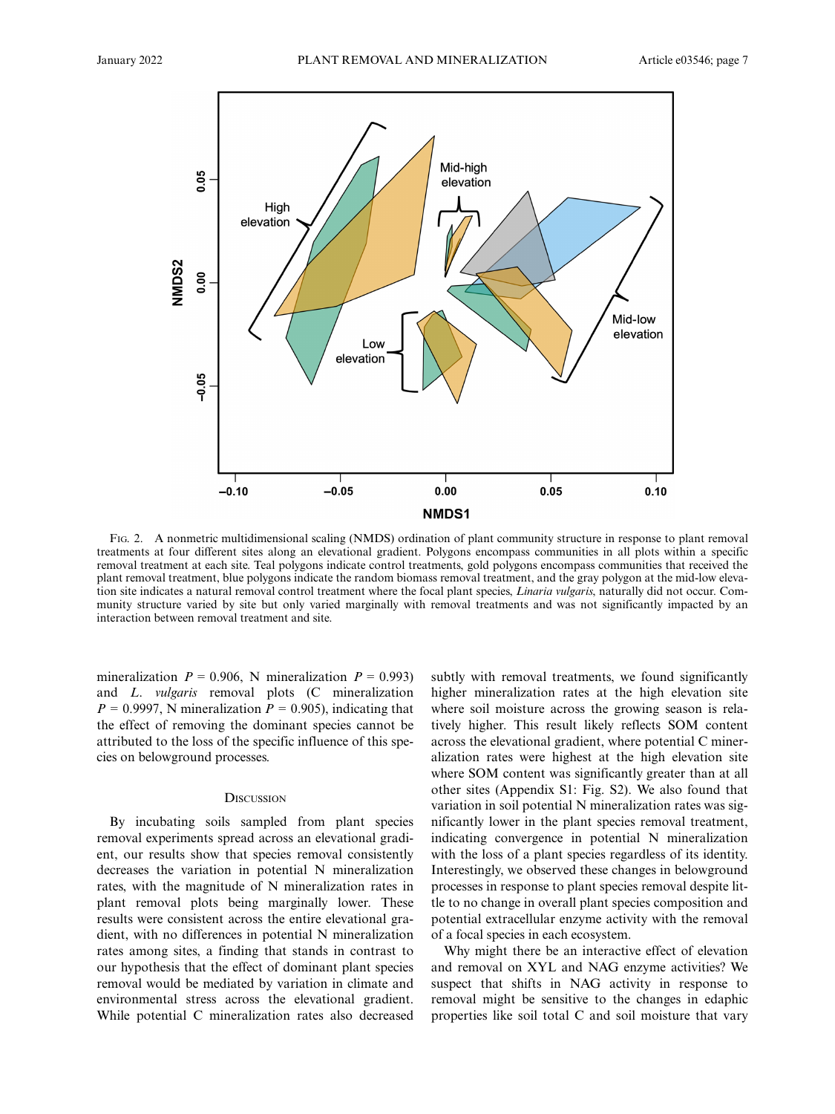

FIG. 2. A nonmetric multidimensional scaling (NMDS) ordination of plant community structure in response to plant removal treatments at four different sites along an elevational gradient. Polygons encompass communities in all plots within a specific removal treatment at each site. Teal polygons indicate control treatments, gold polygons encompass communities that received the plant removal treatment, blue polygons indicate the random biomass removal treatment, and the gray polygon at the mid-low elevation site indicates a natural removal control treatment where the focal plant species, *Linaria vulgaris*, naturally did not occur. Community structure varied by site but only varied marginally with removal treatments and was not significantly impacted by an interaction between removal treatment and site.

mineralization  $P = 0.906$ , N mineralization  $P = 0.993$ and L. vulgaris removal plots (C mineralization  $P = 0.9997$ , N mineralization  $P = 0.905$ ), indicating that the effect of removing the dominant species cannot be attributed to the loss of the specific influence of this species on belowground processes.

#### **DISCUSSION**

By incubating soils sampled from plant species removal experiments spread across an elevational gradient, our results show that species removal consistently decreases the variation in potential N mineralization rates, with the magnitude of N mineralization rates in plant removal plots being marginally lower. These results were consistent across the entire elevational gradient, with no differences in potential N mineralization rates among sites, a finding that stands in contrast to our hypothesis that the effect of dominant plant species removal would be mediated by variation in climate and environmental stress across the elevational gradient. While potential C mineralization rates also decreased subtly with removal treatments, we found significantly higher mineralization rates at the high elevation site where soil moisture across the growing season is relatively higher. This result likely reflects SOM content across the elevational gradient, where potential C mineralization rates were highest at the high elevation site where SOM content was significantly greater than at all other sites (Appendix S1: Fig. S2). We also found that variation in soil potential N mineralization rates was significantly lower in the plant species removal treatment, indicating convergence in potential N mineralization with the loss of a plant species regardless of its identity. Interestingly, we observed these changes in belowground processes in response to plant species removal despite little to no change in overall plant species composition and potential extracellular enzyme activity with the removal of a focal species in each ecosystem.

Why might there be an interactive effect of elevation and removal on XYL and NAG enzyme activities? We suspect that shifts in NAG activity in response to removal might be sensitive to the changes in edaphic properties like soil total C and soil moisture that vary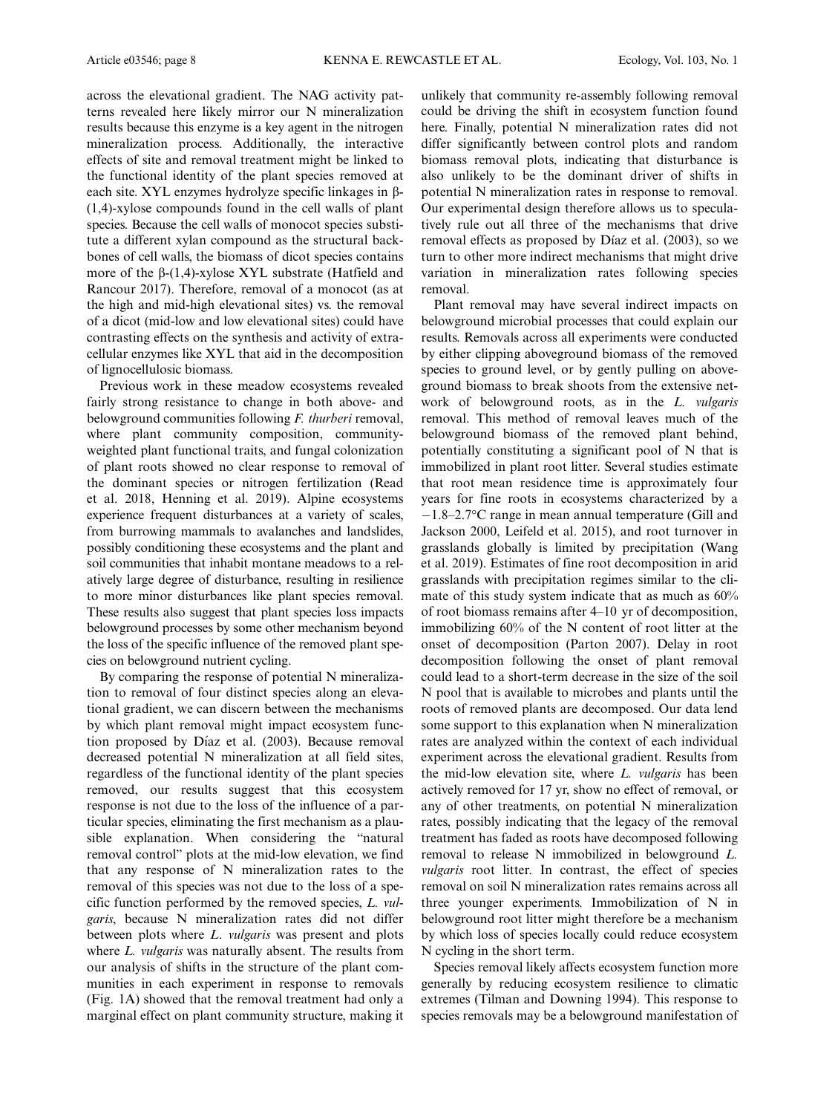across the elevational gradient. The NAG activity patterns revealed here likely mirror our N mineralization results because this enzyme is a key agent in the nitrogen mineralization process. Additionally, the interactive effects of site and removal treatment might be linked to the functional identity of the plant species removed at each site. XYL enzymes hydrolyze specific linkages in b- (1,4)-xylose compounds found in the cell walls of plant species. Because the cell walls of monocot species substitute a different xylan compound as the structural backbones of cell walls, the biomass of dicot species contains more of the  $\beta$ -(1,4)-xylose XYL substrate (Hatfield and Rancour 2017). Therefore, removal of a monocot (as at the high and mid-high elevational sites) vs. the removal of a dicot (mid-low and low elevational sites) could have contrasting effects on the synthesis and activity of extracellular enzymes like XYL that aid in the decomposition of lignocellulosic biomass.

Previous work in these meadow ecosystems revealed fairly strong resistance to change in both above- and belowground communities following F. thurberi removal, where plant community composition, communityweighted plant functional traits, and fungal colonization of plant roots showed no clear response to removal of the dominant species or nitrogen fertilization (Read et al. 2018, Henning et al. 2019). Alpine ecosystems experience frequent disturbances at a variety of scales, from burrowing mammals to avalanches and landslides, possibly conditioning these ecosystems and the plant and soil communities that inhabit montane meadows to a relatively large degree of disturbance, resulting in resilience to more minor disturbances like plant species removal. These results also suggest that plant species loss impacts belowground processes by some other mechanism beyond the loss of the specific influence of the removed plant species on belowground nutrient cycling.

By comparing the response of potential N mineralization to removal of four distinct species along an elevational gradient, we can discern between the mechanisms by which plant removal might impact ecosystem function proposed by Díaz et al. (2003). Because removal decreased potential N mineralization at all field sites, regardless of the functional identity of the plant species removed, our results suggest that this ecosystem response is not due to the loss of the influence of a particular species, eliminating the first mechanism as a plausible explanation. When considering the "natural removal control" plots at the mid-low elevation, we find that any response of N mineralization rates to the removal of this species was not due to the loss of a specific function performed by the removed species, L. vulgaris, because N mineralization rates did not differ between plots where L. vulgaris was present and plots where L. vulgaris was naturally absent. The results from our analysis of shifts in the structure of the plant communities in each experiment in response to removals (Fig. 1A) showed that the removal treatment had only a marginal effect on plant community structure, making it

unlikely that community re-assembly following removal could be driving the shift in ecosystem function found here. Finally, potential N mineralization rates did not differ significantly between control plots and random biomass removal plots, indicating that disturbance is also unlikely to be the dominant driver of shifts in potential N mineralization rates in response to removal. Our experimental design therefore allows us to speculatively rule out all three of the mechanisms that drive removal effects as proposed by Díaz et al. (2003), so we turn to other more indirect mechanisms that might drive variation in mineralization rates following species removal.

Plant removal may have several indirect impacts on belowground microbial processes that could explain our results. Removals across all experiments were conducted by either clipping aboveground biomass of the removed species to ground level, or by gently pulling on aboveground biomass to break shoots from the extensive network of belowground roots, as in the L. vulgaris removal. This method of removal leaves much of the belowground biomass of the removed plant behind, potentially constituting a significant pool of N that is immobilized in plant root litter. Several studies estimate that root mean residence time is approximately four years for fine roots in ecosystems characterized by a  $-1.8-2.7$ °C range in mean annual temperature (Gill and Jackson 2000, Leifeld et al. 2015), and root turnover in grasslands globally is limited by precipitation (Wang et al. 2019). Estimates of fine root decomposition in arid grasslands with precipitation regimes similar to the climate of this study system indicate that as much as 60% of root biomass remains after 4–10 yr of decomposition, immobilizing 60% of the N content of root litter at the onset of decomposition (Parton 2007). Delay in root decomposition following the onset of plant removal could lead to a short-term decrease in the size of the soil N pool that is available to microbes and plants until the roots of removed plants are decomposed. Our data lend some support to this explanation when N mineralization rates are analyzed within the context of each individual experiment across the elevational gradient. Results from the mid-low elevation site, where L. vulgaris has been actively removed for 17 yr, show no effect of removal, or any of other treatments, on potential N mineralization rates, possibly indicating that the legacy of the removal treatment has faded as roots have decomposed following removal to release N immobilized in belowground L. vulgaris root litter. In contrast, the effect of species removal on soil N mineralization rates remains across all three younger experiments. Immobilization of N in belowground root litter might therefore be a mechanism by which loss of species locally could reduce ecosystem N cycling in the short term.

Species removal likely affects ecosystem function more generally by reducing ecosystem resilience to climatic extremes (Tilman and Downing 1994). This response to species removals may be a belowground manifestation of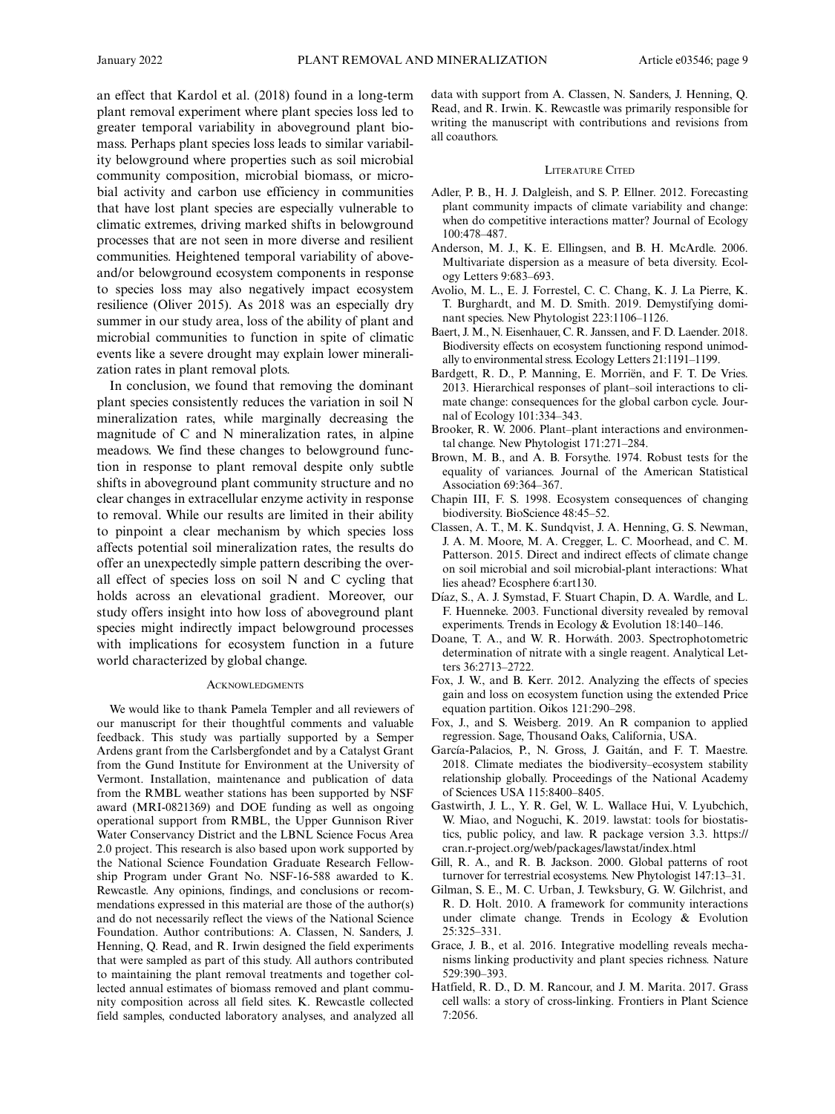an effect that Kardol et al. (2018) found in a long-term plant removal experiment where plant species loss led to greater temporal variability in aboveground plant biomass. Perhaps plant species loss leads to similar variability belowground where properties such as soil microbial community composition, microbial biomass, or microbial activity and carbon use efficiency in communities that have lost plant species are especially vulnerable to climatic extremes, driving marked shifts in belowground processes that are not seen in more diverse and resilient communities. Heightened temporal variability of aboveand/or belowground ecosystem components in response to species loss may also negatively impact ecosystem resilience (Oliver 2015). As 2018 was an especially dry summer in our study area, loss of the ability of plant and microbial communities to function in spite of climatic events like a severe drought may explain lower mineralization rates in plant removal plots.

In conclusion, we found that removing the dominant plant species consistently reduces the variation in soil N mineralization rates, while marginally decreasing the magnitude of C and N mineralization rates, in alpine meadows. We find these changes to belowground function in response to plant removal despite only subtle shifts in aboveground plant community structure and no clear changes in extracellular enzyme activity in response to removal. While our results are limited in their ability to pinpoint a clear mechanism by which species loss affects potential soil mineralization rates, the results do offer an unexpectedly simple pattern describing the overall effect of species loss on soil N and C cycling that holds across an elevational gradient. Moreover, our study offers insight into how loss of aboveground plant species might indirectly impact belowground processes with implications for ecosystem function in a future world characterized by global change.

#### **ACKNOWLEDGMENTS**

We would like to thank Pamela Templer and all reviewers of our manuscript for their thoughtful comments and valuable feedback. This study was partially supported by a Semper Ardens grant from the Carlsbergfondet and by a Catalyst Grant from the Gund Institute for Environment at the University of Vermont. Installation, maintenance and publication of data from the RMBL weather stations has been supported by NSF award (MRI-0821369) and DOE funding as well as ongoing operational support from RMBL, the Upper Gunnison River Water Conservancy District and the LBNL Science Focus Area 2.0 project. This research is also based upon work supported by the National Science Foundation Graduate Research Fellowship Program under Grant No. NSF-16-588 awarded to K. Rewcastle. Any opinions, findings, and conclusions or recommendations expressed in this material are those of the author(s) and do not necessarily reflect the views of the National Science Foundation. Author contributions: A. Classen, N. Sanders, J. Henning, Q. Read, and R. Irwin designed the field experiments that were sampled as part of this study. All authors contributed to maintaining the plant removal treatments and together collected annual estimates of biomass removed and plant community composition across all field sites. K. Rewcastle collected field samples, conducted laboratory analyses, and analyzed all data with support from A. Classen, N. Sanders, J. Henning, Q. Read, and R. Irwin. K. Rewcastle was primarily responsible for writing the manuscript with contributions and revisions from all coauthors.

## LITERATURE CITED

- Adler, P. B., H. J. Dalgleish, and S. P. Ellner. 2012. Forecasting plant community impacts of climate variability and change: when do competitive interactions matter? Journal of Ecology 100:478–487.
- Anderson, M. J., K. E. Ellingsen, and B. H. McArdle. 2006. Multivariate dispersion as a measure of beta diversity. Ecology Letters 9:683–693.
- Avolio, M. L., E. J. Forrestel, C. C. Chang, K. J. La Pierre, K. T. Burghardt, and M. D. Smith. 2019. Demystifying dominant species. New Phytologist 223:1106–1126.
- Baert, J. M., N. Eisenhauer, C. R. Janssen, and F. D. Laender. 2018. Biodiversity effects on ecosystem functioning respond unimodally to environmental stress. Ecology Letters 21:1191–1199.
- Bardgett, R. D., P. Manning, E. Morriën, and F. T. De Vries. 2013. Hierarchical responses of plant–soil interactions to climate change: consequences for the global carbon cycle. Journal of Ecology 101:334–343.
- Brooker, R. W. 2006. Plant–plant interactions and environmental change. New Phytologist 171:271–284.
- Brown, M. B., and A. B. Forsythe. 1974. Robust tests for the equality of variances. Journal of the American Statistical Association 69:364–367.
- Chapin III, F. S. 1998. Ecosystem consequences of changing biodiversity. BioScience 48:45–52.
- Classen, A. T., M. K. Sundqvist, J. A. Henning, G. S. Newman, J. A. M. Moore, M. A. Cregger, L. C. Moorhead, and C. M. Patterson. 2015. Direct and indirect effects of climate change on soil microbial and soil microbial-plant interactions: What lies ahead? Ecosphere 6:art130.
- Díaz, S., A. J. Symstad, F. Stuart Chapin, D. A. Wardle, and L. F. Huenneke. 2003. Functional diversity revealed by removal experiments. Trends in Ecology & Evolution 18:140–146.
- Doane, T. A., and W. R. Horwath. 2003. Spectrophotometric determination of nitrate with a single reagent. Analytical Letters 36:2713–2722.
- Fox, J. W., and B. Kerr. 2012. Analyzing the effects of species gain and loss on ecosystem function using the extended Price equation partition. Oikos 121:290–298.
- Fox, J., and S. Weisberg. 2019. An R companion to applied regression. Sage, Thousand Oaks, California, USA.
- García-Palacios, P., N. Gross, J. Gaitán, and F. T. Maestre. 2018. Climate mediates the biodiversity–ecosystem stability relationship globally. Proceedings of the National Academy of Sciences USA 115:8400–8405.
- Gastwirth, J. L., Y. R. Gel, W. L. Wallace Hui, V. Lyubchich, W. Miao, and Noguchi, K. 2019. lawstat: tools for biostatistics, public policy, and law. R package version 3.3. [https://](https://cran.r-project.org/web/packages/lawstat/index.html) [cran.r-project.org/web/packages/lawstat/index.html](https://cran.r-project.org/web/packages/lawstat/index.html)
- Gill, R. A., and R. B. Jackson. 2000. Global patterns of root turnover for terrestrial ecosystems. New Phytologist 147:13–31.
- Gilman, S. E., M. C. Urban, J. Tewksbury, G. W. Gilchrist, and R. D. Holt. 2010. A framework for community interactions under climate change. Trends in Ecology & Evolution 25:325–331.
- Grace, J. B., et al. 2016. Integrative modelling reveals mechanisms linking productivity and plant species richness. Nature 529:390–393.
- Hatfield, R. D., D. M. Rancour, and J. M. Marita. 2017. Grass cell walls: a story of cross-linking. Frontiers in Plant Science 7:2056.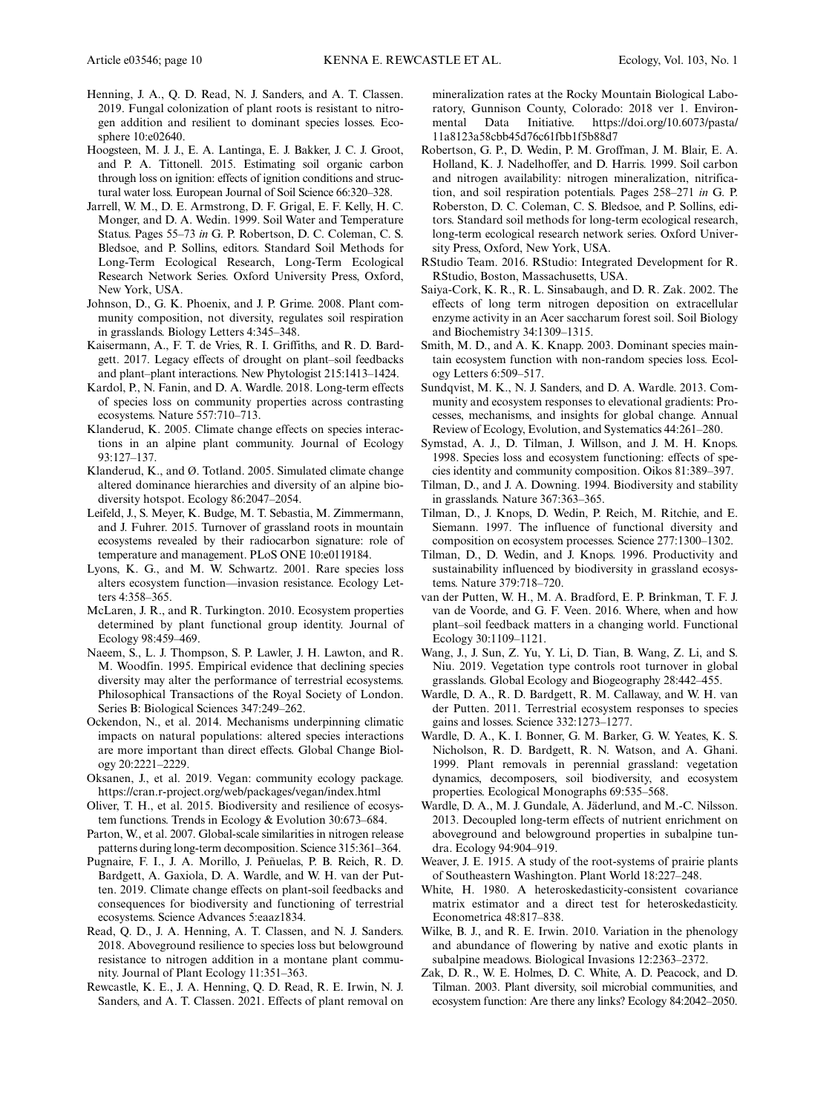- Henning, J. A., Q. D. Read, N. J. Sanders, and A. T. Classen. 2019. Fungal colonization of plant roots is resistant to nitrogen addition and resilient to dominant species losses. Ecosphere 10:e02640.
- Hoogsteen, M. J. J., E. A. Lantinga, E. J. Bakker, J. C. J. Groot, and P. A. Tittonell. 2015. Estimating soil organic carbon through loss on ignition: effects of ignition conditions and structural water loss. European Journal of Soil Science 66:320–328.
- Jarrell, W. M., D. E. Armstrong, D. F. Grigal, E. F. Kelly, H. C. Monger, and D. A. Wedin. 1999. Soil Water and Temperature Status. Pages 55–73 in G. P. Robertson, D. C. Coleman, C. S. Bledsoe, and P. Sollins, editors. Standard Soil Methods for Long-Term Ecological Research, Long-Term Ecological Research Network Series. Oxford University Press, Oxford, New York, USA.
- Johnson, D., G. K. Phoenix, and J. P. Grime. 2008. Plant community composition, not diversity, regulates soil respiration in grasslands. Biology Letters 4:345–348.
- Kaisermann, A., F. T. de Vries, R. I. Griffiths, and R. D. Bardgett. 2017. Legacy effects of drought on plant–soil feedbacks and plant–plant interactions. New Phytologist 215:1413–1424.
- Kardol, P., N. Fanin, and D. A. Wardle. 2018. Long-term effects of species loss on community properties across contrasting ecosystems. Nature 557:710–713.
- Klanderud, K. 2005. Climate change effects on species interactions in an alpine plant community. Journal of Ecology 93:127–137.
- Klanderud, K., and Ø. Totland. 2005. Simulated climate change altered dominance hierarchies and diversity of an alpine biodiversity hotspot. Ecology 86:2047–2054.
- Leifeld, J., S. Meyer, K. Budge, M. T. Sebastia, M. Zimmermann, and J. Fuhrer. 2015. Turnover of grassland roots in mountain ecosystems revealed by their radiocarbon signature: role of temperature and management. PLoS ONE 10:e0119184.
- Lyons, K. G., and M. W. Schwartz. 2001. Rare species loss alters ecosystem function—invasion resistance. Ecology Letters 4:358–365.
- McLaren, J. R., and R. Turkington. 2010. Ecosystem properties determined by plant functional group identity. Journal of Ecology 98:459–469.
- Naeem, S., L. J. Thompson, S. P. Lawler, J. H. Lawton, and R. M. Woodfin. 1995. Empirical evidence that declining species diversity may alter the performance of terrestrial ecosystems. Philosophical Transactions of the Royal Society of London. Series B: Biological Sciences 347:249–262.
- Ockendon, N., et al. 2014. Mechanisms underpinning climatic impacts on natural populations: altered species interactions are more important than direct effects. Global Change Biology 20:2221–2229.
- Oksanen, J., et al. 2019. Vegan: community ecology package. <https://cran.r-project.org/web/packages/vegan/index.html>
- Oliver, T. H., et al. 2015. Biodiversity and resilience of ecosystem functions. Trends in Ecology & Evolution 30:673–684.
- Parton, W., et al. 2007. Global-scale similarities in nitrogen release patterns during long-term decomposition. Science 315:361–364.
- Pugnaire, F. I., J. A. Morillo, J. Penuelas, P. B. Reich, R. D. ~ Bardgett, A. Gaxiola, D. A. Wardle, and W. H. van der Putten. 2019. Climate change effects on plant-soil feedbacks and consequences for biodiversity and functioning of terrestrial ecosystems. Science Advances 5:eaaz1834.
- Read, Q. D., J. A. Henning, A. T. Classen, and N. J. Sanders. 2018. Aboveground resilience to species loss but belowground resistance to nitrogen addition in a montane plant community. Journal of Plant Ecology 11:351–363.
- Rewcastle, K. E., J. A. Henning, Q. D. Read, R. E. Irwin, N. J. Sanders, and A. T. Classen. 2021. Effects of plant removal on

mineralization rates at the Rocky Mountain Biological Laboratory, Gunnison County, Colorado: 2018 ver 1. Environmental Data Initiative. [https://doi.org/10.6073/pasta/](https://doi.org/10.6073/pasta/11a8123a58cbb45d76c61fbb1f5b88d7) [11a8123a58cbb45d76c61fbb1f5b88d7](https://doi.org/10.6073/pasta/11a8123a58cbb45d76c61fbb1f5b88d7)

- Robertson, G. P., D. Wedin, P. M. Groffman, J. M. Blair, E. A. Holland, K. J. Nadelhoffer, and D. Harris. 1999. Soil carbon and nitrogen availability: nitrogen mineralization, nitrification, and soil respiration potentials. Pages 258–271 in G. P. Roberston, D. C. Coleman, C. S. Bledsoe, and P. Sollins, editors. Standard soil methods for long-term ecological research, long-term ecological research network series. Oxford University Press, Oxford, New York, USA.
- RStudio Team. 2016. RStudio: Integrated Development for R. RStudio, Boston, Massachusetts, USA.
- Saiya-Cork, K. R., R. L. Sinsabaugh, and D. R. Zak. 2002. The effects of long term nitrogen deposition on extracellular enzyme activity in an Acer saccharum forest soil. Soil Biology and Biochemistry 34:1309–1315.
- Smith, M. D., and A. K. Knapp. 2003. Dominant species maintain ecosystem function with non-random species loss. Ecology Letters 6:509–517.
- Sundqvist, M. K., N. J. Sanders, and D. A. Wardle. 2013. Community and ecosystem responses to elevational gradients: Processes, mechanisms, and insights for global change. Annual Review of Ecology, Evolution, and Systematics 44:261–280.
- Symstad, A. J., D. Tilman, J. Willson, and J. M. H. Knops. 1998. Species loss and ecosystem functioning: effects of species identity and community composition. Oikos 81:389–397.
- Tilman, D., and J. A. Downing. 1994. Biodiversity and stability in grasslands. Nature 367:363–365.
- Tilman, D., J. Knops, D. Wedin, P. Reich, M. Ritchie, and E. Siemann. 1997. The influence of functional diversity and composition on ecosystem processes. Science 277:1300–1302.
- Tilman, D., D. Wedin, and J. Knops. 1996. Productivity and sustainability influenced by biodiversity in grassland ecosystems. Nature 379:718–720.
- van der Putten, W. H., M. A. Bradford, E. P. Brinkman, T. F. J. van de Voorde, and G. F. Veen. 2016. Where, when and how plant–soil feedback matters in a changing world. Functional Ecology 30:1109–1121.
- Wang, J., J. Sun, Z. Yu, Y. Li, D. Tian, B. Wang, Z. Li, and S. Niu. 2019. Vegetation type controls root turnover in global grasslands. Global Ecology and Biogeography 28:442–455.
- Wardle, D. A., R. D. Bardgett, R. M. Callaway, and W. H. van der Putten. 2011. Terrestrial ecosystem responses to species gains and losses. Science 332:1273–1277.
- Wardle, D. A., K. I. Bonner, G. M. Barker, G. W. Yeates, K. S. Nicholson, R. D. Bardgett, R. N. Watson, and A. Ghani. 1999. Plant removals in perennial grassland: vegetation dynamics, decomposers, soil biodiversity, and ecosystem properties. Ecological Monographs 69:535–568.
- Wardle, D. A., M. J. Gundale, A. Jäderlund, and M.-C. Nilsson. 2013. Decoupled long-term effects of nutrient enrichment on aboveground and belowground properties in subalpine tundra. Ecology 94:904–919.
- Weaver, J. E. 1915. A study of the root-systems of prairie plants of Southeastern Washington. Plant World 18:227–248.
- White, H. 1980. A heteroskedasticity-consistent covariance matrix estimator and a direct test for heteroskedasticity. Econometrica 48:817–838.
- Wilke, B. J., and R. E. Irwin. 2010. Variation in the phenology and abundance of flowering by native and exotic plants in subalpine meadows. Biological Invasions 12:2363–2372.
- Zak, D. R., W. E. Holmes, D. C. White, A. D. Peacock, and D. Tilman. 2003. Plant diversity, soil microbial communities, and ecosystem function: Are there any links? Ecology 84:2042–2050.